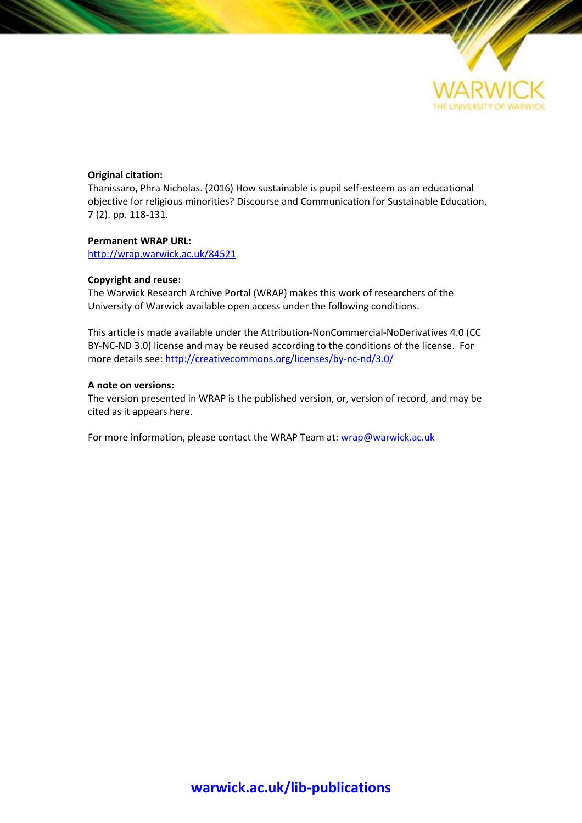

# **Original citation:**

Thanissaro, Phra Nicholas. (2016) How sustainable is pupil self-esteem as an educational objective for religious minorities? Discourse and Communication for Sustainable Education, 7 (2). pp. 118-131.

# **Permanent WRAP URL:**

<http://wrap.warwick.ac.uk/84521>

# **Copyright and reuse:**

The Warwick Research Archive Portal (WRAP) makes this work of researchers of the University of Warwick available open access under the following conditions.

This article is made available under the Attribution-NonCommercial-NoDerivatives 4.0 (CC BY-NC-ND 3.0) license and may be reused according to the conditions of the license. For more details see: <http://creativecommons.org/licenses/by-nc-nd/3.0/>

# **A note on versions:**

The version presented in WRAP is the published version, or, version of record, and may be cited as it appears here.

For more information, please contact the WRAP Team at[: wrap@warwick.ac.uk](mailto:wrap@warwick.ac.uk)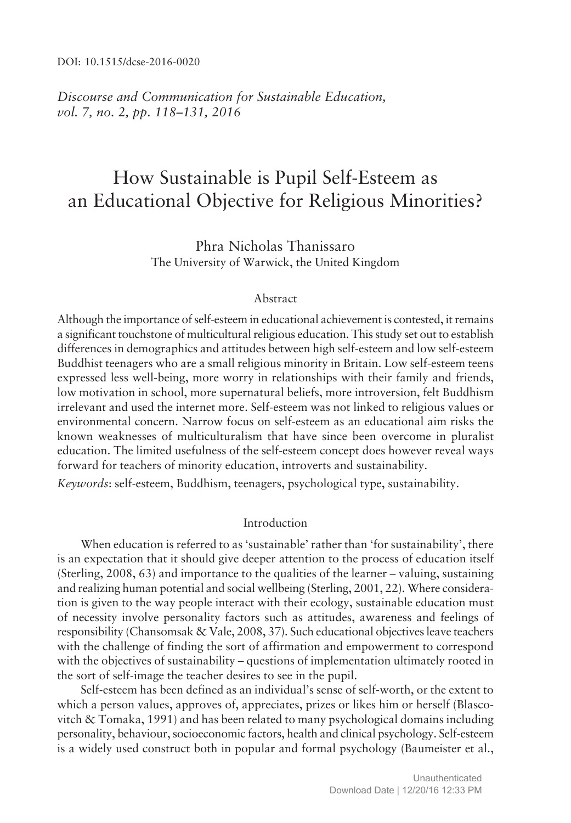DOI: 10.1515/dcse-2016-0020

*Discourse and Communication for Sustainable Education, vol.* 7, *no.* 2, *pp.* 118–131, 2016

# How Sustainable is Pupil Self-Esteem as an Educational Objective for Religious Minorities?

Phra Nicholas Thanissaro The University of Warwick, the United Kingdom

#### Abstract

Although the importance of self-esteem in educational achievement is contested, it remains a significant touchstone of multicultural religious education. This study set out to establish differences in demographics and attitudes between high self-esteem and low self-esteem Buddhist teenagers who are a small religious minority in Britain. Low self-esteem teens expressed less well-being, more worry in relationships with their family and friends, low motivation in school, more supernatural beliefs, more introversion, felt Buddhism irrelevant and used the internet more. Self-esteem was not linked to religious values or environmental concern. Narrow focus on self-esteem as an educational aim risks the known weaknesses of multiculturalism that have since been overcome in pluralist education. The limited usefulness of the self-esteem concept does however reveal ways forward for teachers of minority education, introverts and sustainability.

*Keywords*: self-esteem, Buddhism, teenagers, psychological type, sustainability.

# Introduction

When education is referred to as 'sustainable' rather than 'for sustainability', there is an expectation that it should give deeper attention to the process of education itself (Sterling,  $2008, 63$ ) and importance to the qualities of the learner  $-$  valuing, sustaining and realizing human potential and social wellbeing (Sterling, 2001, 22). Where consideration is given to the way people interact with their ecology, sustainable education must of necessity involve personality factors such as attitudes, awareness and feelings of responsibility (Chansomsak & Vale, 2008, 37). Such educational objectives leave teachers with the challenge of finding the sort of affirmation and empowerment to correspond with the objectives of sustainability  $-$  questions of implementation ultimately rooted in the sort of self-image the teacher desires to see in the pupil.

Self-esteem has been defined as an individual's sense of self-worth, or the extent to which a person values, approves of, appreciates, prizes or likes him or herself (Blascovitch & Tomaka, 1991) and has been related to many psychological domains including personality, behaviour, socioeconomic factors, health and clinical psychology. Self-esteem is a widely used construct both in popular and formal psychology (Baumeister et al.,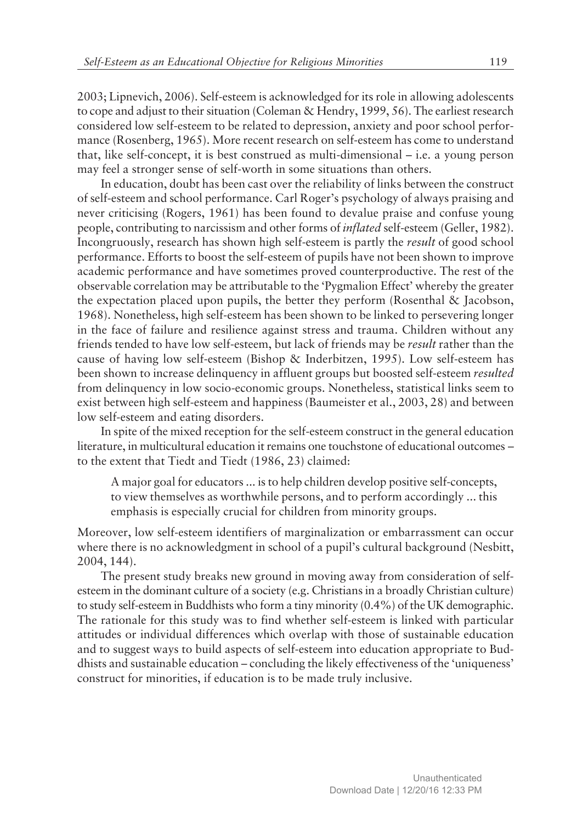2003; Lipnevich, 2006). Self-esteem is acknowledged for its role in allowing adolescents to cope and adjust to their situation (Coleman & Hendry, 1999, 56). The earliest research considered low self-esteem to be related to depression, anxiety and poor school performance (Rosenberg, 1965). More recent research on self-esteem has come to understand that, like self-concept, it is best construed as multi-dimensional  $-$  i.e. a young person may feel a stronger sense of self-worth in some situations than others.

In education, doubt has been cast over the reliability of links between the construct of self-esteem and school performance. Carl Rogerís psychology of always praising and never criticising (Rogers, 1961) has been found to devalue praise and confuse young people, contributing to narcissism and other forms of *inflated* self-esteem (Geller, 1982). Incongruously, research has shown high self-esteem is partly the *result* of good school performance. Efforts to boost the self-esteem of pupils have not been shown to improve academic performance and have sometimes proved counterproductive. The rest of the observable correlation may be attributable to the 'Pygmalion Effect' whereby the greater the expectation placed upon pupils, the better they perform (Rosenthal & Jacobson, 1968). Nonetheless, high self-esteem has been shown to be linked to persevering longer in the face of failure and resilience against stress and trauma. Children without any friends tended to have low self-esteem, but lack of friends may be *result* rather than the cause of having low self-esteem (Bishop & Inderbitzen, 1995). Low self-esteem has been shown to increase delinquency in affluent groups but boosted self-esteem *resulted* from delinquency in low socio-economic groups. Nonetheless, statistical links seem to exist between high self-esteem and happiness (Baumeister et al., 2003, 28) and between low self-esteem and eating disorders.

In spite of the mixed reception for the self-esteem construct in the general education literature, in multicultural education it remains one touchstone of educational outcomes – to the extent that Tiedt and Tiedt (1986, 23) claimed:

A major goal for educators ... is to help children develop positive self-concepts, to view themselves as worthwhile persons, and to perform accordingly ... this emphasis is especially crucial for children from minority groups.

Moreover, low self-esteem identifiers of marginalization or embarrassment can occur where there is no acknowledgment in school of a pupil's cultural background (Nesbitt, 2004, 144).

The present study breaks new ground in moving away from consideration of selfesteem in the dominant culture of a society (e.g. Christians in a broadly Christian culture) to study self-esteem in Buddhists who form a tiny minority (0.4%) of the UK demographic. The rationale for this study was to find whether self-esteem is linked with particular attitudes or individual differences which overlap with those of sustainable education and to suggest ways to build aspects of self-esteem into education appropriate to Buddhists and sustainable education – concluding the likely effectiveness of the 'uniqueness' construct for minorities, if education is to be made truly inclusive.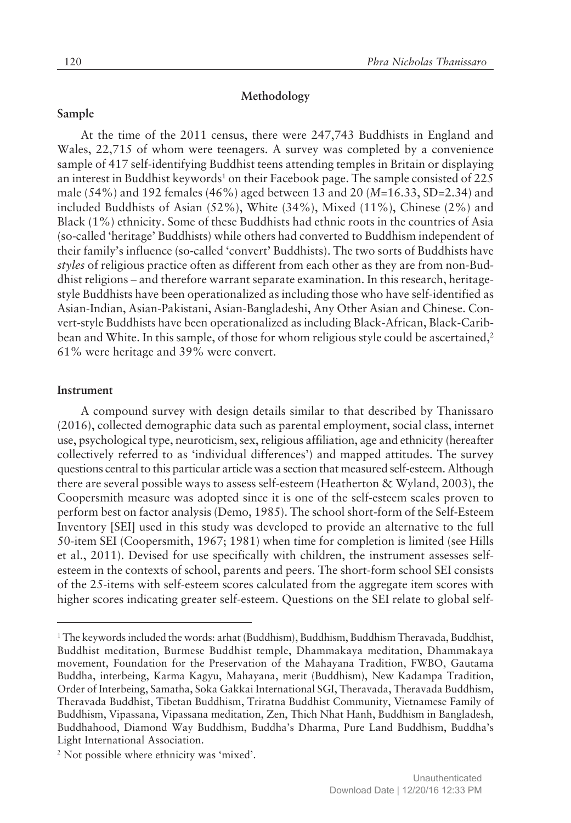## **Methodology**

# **Sample**

At the time of the 2011 census, there were 247,743 Buddhists in England and Wales, 22,715 of whom were teenagers. A survey was completed by a convenience sample of 417 self-identifying Buddhist teens attending temples in Britain or displaying an interest in Buddhist keywords<sup>1</sup> on their Facebook page. The sample consisted of 225 male (54%) and 192 females (46%) aged between 13 and 20 (*M*=16.33, SD=2.34) and included Buddhists of Asian (52%), White (34%), Mixed (11%), Chinese (2%) and Black (1%) ethnicity. Some of these Buddhists had ethnic roots in the countries of Asia (so-called ëheritageí Buddhists) while others had converted to Buddhism independent of their family's influence (so-called 'convert' Buddhists). The two sorts of Buddhists have *styles* of religious practice often as different from each other as they are from non-Buddhist religions – and therefore warrant separate examination. In this research, heritagestyle Buddhists have been operationalized as including those who have self-identified as Asian-Indian, Asian-Pakistani, Asian-Bangladeshi, Any Other Asian and Chinese. Convert-style Buddhists have been operationalized as including Black-African, Black-Caribbean and White. In this sample, of those for whom religious style could be ascertained,<sup>2</sup> 61% were heritage and 39% were convert.

#### **Instrument**

A compound survey with design details similar to that described by Thanissaro (2016), collected demographic data such as parental employment, social class, internet use, psychological type, neuroticism, sex, religious affiliation, age and ethnicity (hereafter collectively referred to as 'individual differences') and mapped attitudes. The survey questions central to this particular article was a section that measured self-esteem. Although there are several possible ways to assess self-esteem (Heatherton & Wyland, 2003), the Coopersmith measure was adopted since it is one of the self-esteem scales proven to perform best on factor analysis (Demo, 1985). The school short-form of the Self-Esteem Inventory [SEI] used in this study was developed to provide an alternative to the full 50-item SEI (Coopersmith, 1967; 1981) when time for completion is limited (see Hills et al., 2011). Devised for use specifically with children, the instrument assesses selfesteem in the contexts of school, parents and peers. The short-form school SEI consists of the 25-items with self-esteem scores calculated from the aggregate item scores with higher scores indicating greater self-esteem. Questions on the SEI relate to global self-

<sup>1</sup> The keywords included the words: arhat (Buddhism), Buddhism, Buddhism Theravada, Buddhist, Buddhist meditation, Burmese Buddhist temple, Dhammakaya meditation, Dhammakaya movement, Foundation for the Preservation of the Mahayana Tradition, FWBO, Gautama Buddha, interbeing, Karma Kagyu, Mahayana, merit (Buddhism), New Kadampa Tradition, Order of Interbeing, Samatha, Soka Gakkai International SGI, Theravada, Theravada Buddhism, Theravada Buddhist, Tibetan Buddhism, Triratna Buddhist Community, Vietnamese Family of Buddhism, Vipassana, Vipassana meditation, Zen, Thich Nhat Hanh, Buddhism in Bangladesh, Buddhahood, Diamond Way Buddhism, Buddhaís Dharma, Pure Land Buddhism, Buddhaís Light International Association.

<sup>&</sup>lt;sup>2</sup> Not possible where ethnicity was 'mixed'.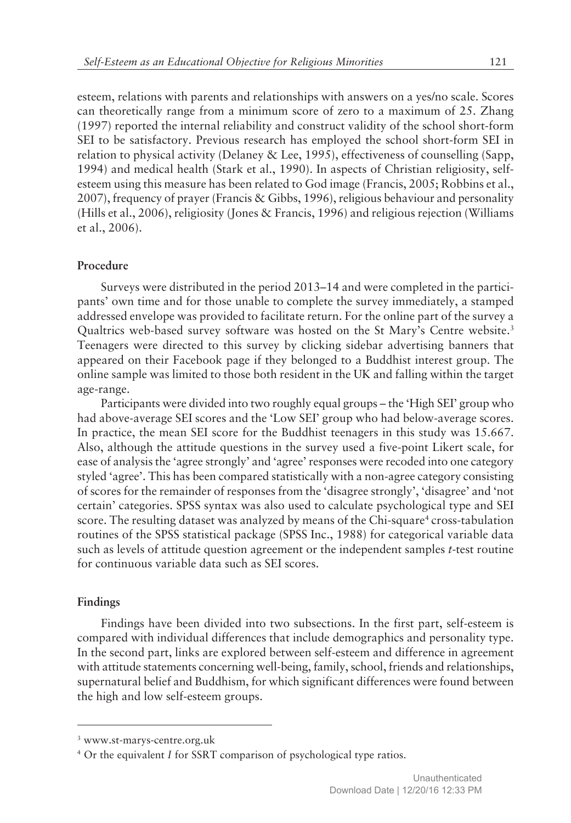esteem, relations with parents and relationships with answers on a yes/no scale. Scores can theoretically range from a minimum score of zero to a maximum of 25. Zhang (1997) reported the internal reliability and construct validity of the school short-form SEI to be satisfactory. Previous research has employed the school short-form SEI in relation to physical activity (Delaney & Lee, 1995), effectiveness of counselling (Sapp, 1994) and medical health (Stark et al., 1990). In aspects of Christian religiosity, selfesteem using this measure has been related to God image (Francis, 2005; Robbins et al., 2007), frequency of prayer (Francis & Gibbs, 1996), religious behaviour and personality (Hills et al., 2006), religiosity (Jones & Francis, 1996) and religious rejection (Williams et al., 2006).

## **Procedure**

Surveys were distributed in the period 2013–14 and were completed in the participants' own time and for those unable to complete the survey immediately, a stamped addressed envelope was provided to facilitate return. For the online part of the survey a Qualtrics web-based survey software was hosted on the St Mary's Centre website.<sup>3</sup> Teenagers were directed to this survey by clicking sidebar advertising banners that appeared on their Facebook page if they belonged to a Buddhist interest group. The online sample was limited to those both resident in the UK and falling within the target age-range.

Participants were divided into two roughly equal groups – the 'High SEI' group who had above-average SEI scores and the 'Low SEI' group who had below-average scores. In practice, the mean SEI score for the Buddhist teenagers in this study was 15.667. Also, although the attitude questions in the survey used a five-point Likert scale, for ease of analysis the 'agree strongly' and 'agree' responses were recoded into one category styled 'agree'. This has been compared statistically with a non-agree category consisting of scores for the remainder of responses from the 'disagree strongly', 'disagree' and 'not certainí categories. SPSS syntax was also used to calculate psychological type and SEI score. The resulting dataset was analyzed by means of the Chi-square<sup>4</sup> cross-tabulation routines of the SPSS statistical package (SPSS Inc., 1988) for categorical variable data such as levels of attitude question agreement or the independent samples *t*-test routine for continuous variable data such as SEI scores.

## **Findings**

Findings have been divided into two subsections. In the first part, self-esteem is compared with individual differences that include demographics and personality type. In the second part, links are explored between self-esteem and difference in agreement with attitude statements concerning well-being, family, school, friends and relationships, supernatural belief and Buddhism, for which significant differences were found between the high and low self-esteem groups.

<sup>3</sup> www.st-marys-centre.org.uk

<sup>&</sup>lt;sup>4</sup> Or the equivalent *I* for SSRT comparison of psychological type ratios.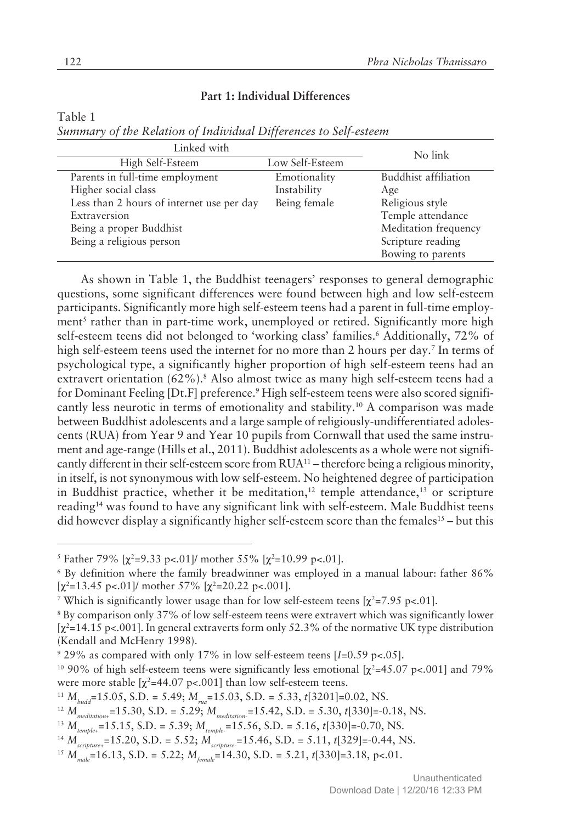# **Part 1: Individual Differences**

Table 1

| Summary of the Relation of Individual Differences to Self-esteem |  |  |  |  |
|------------------------------------------------------------------|--|--|--|--|
|------------------------------------------------------------------|--|--|--|--|

| Linked with                               | No link         |                      |
|-------------------------------------------|-----------------|----------------------|
| High Self-Esteem                          | Low Self-Esteem |                      |
| Parents in full-time employment           | Emotionality    | Buddhist affiliation |
| Higher social class                       | Instability     | Age                  |
| Less than 2 hours of internet use per day | Being female    | Religious style      |
| Extraversion                              |                 | Temple attendance    |
| Being a proper Buddhist                   |                 | Meditation frequency |
| Being a religious person                  |                 | Scripture reading    |
|                                           |                 | Bowing to parents    |

As shown in Table 1, the Buddhist teenagers' responses to general demographic questions, some significant differences were found between high and low self-esteem participants. Significantly more high self-esteem teens had a parent in full-time employment<sup>5</sup> rather than in part-time work, unemployed or retired. Significantly more high self-esteem teens did not belonged to 'working class' families.<sup>6</sup> Additionally, 72% of high self-esteem teens used the internet for no more than 2 hours per day.<sup>7</sup> In terms of psychological type, a significantly higher proportion of high self-esteem teens had an extravert orientation (62%).<sup>8</sup> Also almost twice as many high self-esteem teens had a for Dominant Feeling [Dt.F] preference.<sup>9</sup> High self-esteem teens were also scored significantly less neurotic in terms of emotionality and stability.<sup>10</sup> A comparison was made between Buddhist adolescents and a large sample of religiously-undifferentiated adolescents (RUA) from Year 9 and Year 10 pupils from Cornwall that used the same instrument and age-range (Hills et al., 2011). Buddhist adolescents as a whole were not significantly different in their self-esteem score from  $RUA<sup>11</sup>$  – therefore being a religious minority, in itself, is not synonymous with low self-esteem. No heightened degree of participation in Buddhist practice, whether it be meditation,<sup>12</sup> temple attendance,<sup>13</sup> or scripture reading<sup>14</sup> was found to have any significant link with self-esteem. Male Buddhist teens did however display a significantly higher self-esteem score than the females<sup>15</sup> – but this

<sup>&</sup>lt;sup>5</sup> Father 79%  $[\chi^2=9.33 \text{ p} < .01]$ / mother 55%  $[\chi^2=10.99 \text{ p} < .01]$ .

<sup>6</sup> By definition where the family breadwinner was employed in a manual labour: father 86%  $[\chi^2=13.45 \text{ p} < 0.01]$ / mother 57%  $[\chi^2=20.22 \text{ p} < 0.001]$ .

<sup>&</sup>lt;sup>7</sup> Which is significantly lower usage than for low self-esteem teens  $[\chi^2=7.95 \text{ p}<-101]$ .

<sup>8</sup> By comparison only 37% of low self-esteem teens were extravert which was significantly lower  $[x^2=14.15 \text{ p}$ <.001]. In general extraverts form only 52.3% of the normative UK type distribution (Kendall and McHenry 1998).

<sup>9</sup> 29% as compared with only 17% in low self-esteem teens [*I*=0.59 p<.05].

<sup>&</sup>lt;sup>10</sup> 90% of high self-esteem teens were significantly less emotional  $[\chi^2=45.07 \text{ p} < .001]$  and 79% were more stable  $[\chi^2=44.07 \text{ p}<-1001]$  than low self-esteem teens.

<sup>11</sup> *Mbudd*=15.05, S.D. = 5.49; *Mrua* =15.03, S.D. = 5.33, *t*[3201]=0.02, NS.

<sup>12</sup> *Mmeditation+*=15.30, S.D. = 5.29; *Mmeditation-*=15.42, S.D. = 5.30, *t*[330]=-0.18, NS.

<sup>13</sup> *Mtemple+*=15.15, S.D. = 5.39; *Mtemple-*=15.56, S.D. = 5.16, *t*[330]=-0.70, NS.

<sup>14</sup> *Mscripture+*=15.20, S.D. = 5.52; *Mscripture-*=15.46, S.D. = 5.11, *t*[329]=-0.44, NS.

<sup>15</sup> *Mmale*=16.13, S.D. = 5.22; *Mfemale*=14.30, S.D. = 5.21, *t*[330]=3.18, p<.01.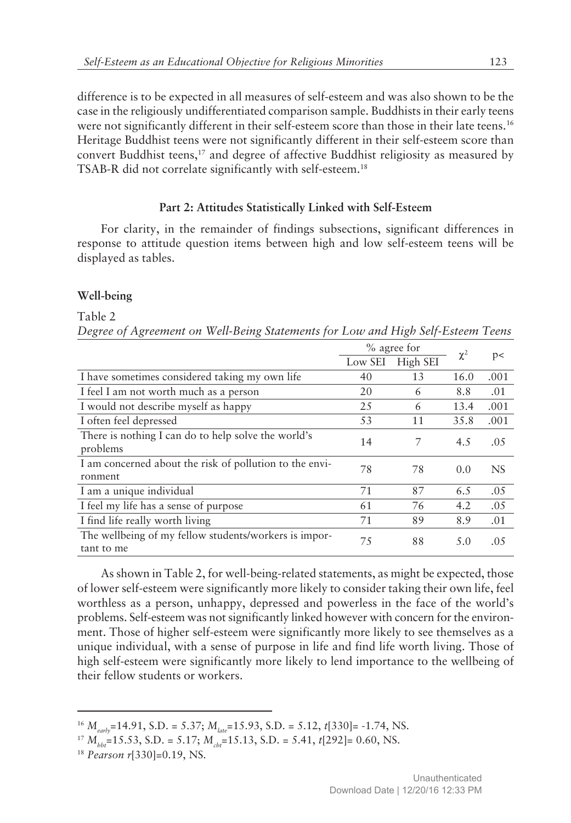difference is to be expected in all measures of self-esteem and was also shown to be the case in the religiously undifferentiated comparison sample. Buddhists in their early teens were not significantly different in their self-esteem score than those in their late teens.<sup>16</sup> Heritage Buddhist teens were not significantly different in their self-esteem score than convert Buddhist teens, $17$  and degree of affective Buddhist religiosity as measured by TSAB-R did not correlate significantly with self-esteem.<sup>18</sup>

# **Part 2: Attitudes Statistically Linked with Self-Esteem**

For clarity, in the remainder of findings subsections, significant differences in response to attitude question items between high and low self-esteem teens will be displayed as tables.

## **Well-being**

#### Table 2

*Degree of Agreement on Well-Being Statements for Low and High Self-Esteem Teens*

|                                                                     | % agree for |          |          |           |
|---------------------------------------------------------------------|-------------|----------|----------|-----------|
|                                                                     | Low SEI     | High SEI | $\chi^2$ | p<        |
| I have sometimes considered taking my own life                      | 40          | 13       | 16.0     | .001      |
| I feel I am not worth much as a person                              | 20          | 6        | 8.8      | .01       |
| I would not describe myself as happy                                | 25          | 6        | 13.4     | .001      |
| I often feel depressed                                              | 53          | 11       | 35.8     | .001      |
| There is nothing I can do to help solve the world's<br>problems     | 14          | 7        | 4.5      | .05       |
| I am concerned about the risk of pollution to the envi-<br>ronment  | 78          | 78       | 0.0      | <b>NS</b> |
| I am a unique individual                                            | 71          | 87       | 6.5      | .05       |
| I feel my life has a sense of purpose                               | 61          | 76       | 4.2      | .05       |
| I find life really worth living                                     | 71          | 89       | 8.9      | .01       |
| The wellbeing of my fellow students/workers is impor-<br>tant to me | 75          | 88       | 5.0      | .05       |

As shown in Table 2, for well-being-related statements, as might be expected, those of lower self-esteem were significantly more likely to consider taking their own life, feel worthless as a person, unhappy, depressed and powerless in the face of the world's problems. Self-esteem was not significantly linked however with concern for the environment. Those of higher self-esteem were significantly more likely to see themselves as a unique individual, with a sense of purpose in life and find life worth living. Those of high self-esteem were significantly more likely to lend importance to the wellbeing of their fellow students or workers.

<sup>16</sup> *Mearly*=14.91, S.D. = 5.37; *Mlate*=15.93, S.D. = 5.12, *t*[330]= -1.74, NS.

 $^{17}$   $M_{bb}$ =15.53, S.D. = 5.17;  $M_{cb}$ =15.13, S.D. = 5.41, *t*[292]= 0.60, NS.

<sup>18</sup> *Pearson r*[330]*=*0.19, NS.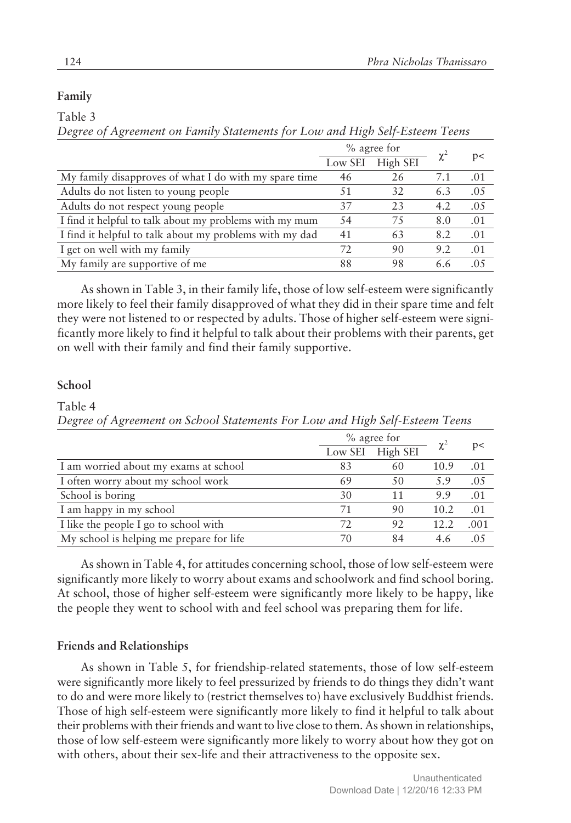# **Family**

Table 3

*Degree of Agreement on Family Statements for Low and High Self-Esteem Teens*

|                                                         | % agree for |          | $\chi^2$ |      |
|---------------------------------------------------------|-------------|----------|----------|------|
|                                                         | Low SEI     | High SEI |          | p    |
| My family disapproves of what I do with my spare time   | 46          | 26       | 7.1      | .01  |
| Adults do not listen to young people                    | 51          | 32       | 6.3      | .05  |
| Adults do not respect young people                      | 37          | 23       | 4.2      | .05  |
| I find it helpful to talk about my problems with my mum | 54          | 75       | 8.0      | .01  |
| I find it helpful to talk about my problems with my dad | 41          | 63       | 8.2      | .01  |
| I get on well with my family                            | 72.         | 90       | 9.2      | .01  |
| My family are supportive of me                          | 88          | 98       | 6.6      | .0.5 |

As shown in Table 3, in their family life, those of low self-esteem were significantly more likely to feel their family disapproved of what they did in their spare time and felt they were not listened to or respected by adults. Those of higher self-esteem were significantly more likely to find it helpful to talk about their problems with their parents, get on well with their family and find their family supportive.

# **School**

Table 4

*Degree of Agreement on School Statements For Low and High Self-Esteem Teens*

|                                          | $%$ agree for |                  |          |      |
|------------------------------------------|---------------|------------------|----------|------|
|                                          |               | Low SEI High SEI | $\chi^2$ | p    |
| I am worried about my exams at school    | 83            | 60               | 10.9     | .01  |
| I often worry about my school work       | 69            | 50               | 5.9      | .05  |
| School is boring                         | 30            | 11               | 9.9      | .01  |
| I am happy in my school                  | 71            | 90               | 10.2     | .01  |
| I like the people I go to school with    | 72            | 92               | 12.2     | .001 |
| My school is helping me prepare for life | 70            | 84               | 4.6      | (15  |

As shown in Table 4, for attitudes concerning school, those of low self-esteem were significantly more likely to worry about exams and schoolwork and find school boring. At school, those of higher self-esteem were significantly more likely to be happy, like the people they went to school with and feel school was preparing them for life.

# **Friends and Relationships**

As shown in Table 5, for friendship-related statements, those of low self-esteem were significantly more likely to feel pressurized by friends to do things they didn't want to do and were more likely to (restrict themselves to) have exclusively Buddhist friends. Those of high self-esteem were significantly more likely to find it helpful to talk about their problems with their friends and want to live close to them. As shown in relationships, those of low self-esteem were significantly more likely to worry about how they got on with others, about their sex-life and their attractiveness to the opposite sex.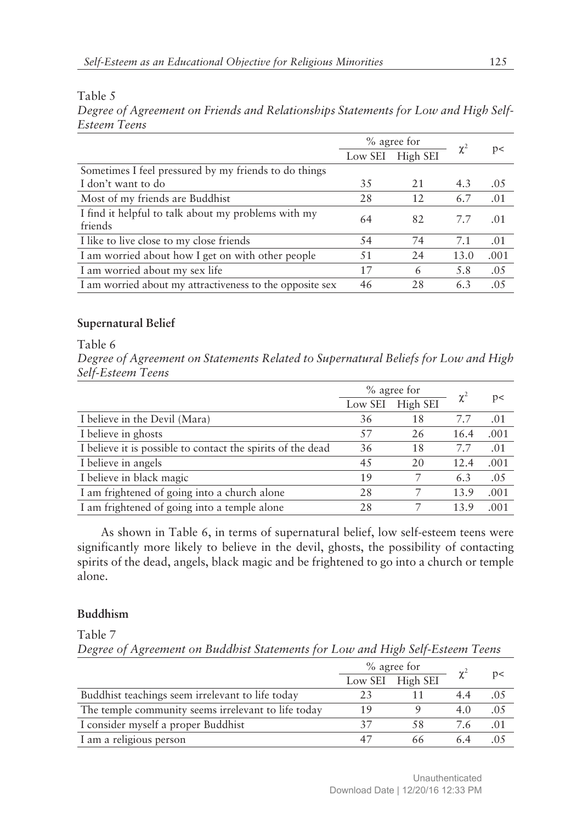# Table 5

*Degree of Agreement on Friends and Relationships Statements for Low and High Self-Esteem Teens*

|                                                                | % agree for |                  |          |      |
|----------------------------------------------------------------|-------------|------------------|----------|------|
|                                                                |             | Low SEI High SEI | $\chi^2$ | p<   |
| Sometimes I feel pressured by my friends to do things          |             |                  |          |      |
| I don't want to do                                             | 35          | 21               | 4.3      | .05  |
| Most of my friends are Buddhist                                | 28          | 12               | 6.7      | .01  |
| I find it helpful to talk about my problems with my<br>friends | 64          | 82               | 7.7      | .01  |
| I like to live close to my close friends                       | 54          | 74               | 7.1      | .01  |
| I am worried about how I get on with other people              | 51          | 24               | 13.0     | .001 |
| I am worried about my sex life                                 | 17          | 6                | 5.8      | .05  |
| I am worried about my attractiveness to the opposite sex       | 46          | 28               | 6.3      | .05  |

# **Supernatural Belief**

# Table 6

*Degree of Agreement on Statements Related to Supernatural Beliefs for Low and High Self-Esteem Teens*

|                                                             | $\%$ agree for |          |          |      |
|-------------------------------------------------------------|----------------|----------|----------|------|
|                                                             | Low SEI        | High SEI | $\chi^2$ | p<   |
| I believe in the Devil (Mara)                               | 36             | 18       | 7.7      | .01  |
| I believe in ghosts                                         | 57             | 26       | 16.4     | .001 |
| I believe it is possible to contact the spirits of the dead | 36             | 18       | 7.7      | .01  |
| I believe in angels                                         | 45             | 20       | 12.4     | .001 |
| I believe in black magic                                    | 19             |          | 6.3      | .05  |
| I am frightened of going into a church alone                | 28             |          | 13.9     | .001 |
| I am frightened of going into a temple alone                | 28             |          | 13.9     | .001 |

As shown in Table 6, in terms of supernatural belief, low self-esteem teens were significantly more likely to believe in the devil, ghosts, the possibility of contacting spirits of the dead, angels, black magic and be frightened to go into a church or temple alone.

# **Buddhism**

Table 7

*Degree of Agreement on Buddhist Statements for Low and High Self-Esteem Teens*

|                                                     | % agree for |                  |          |     |
|-----------------------------------------------------|-------------|------------------|----------|-----|
|                                                     |             | Low SEI High SEI | $\chi^2$ | p   |
| Buddhist teachings seem irrelevant to life today    |             |                  |          |     |
| The temple community seems irrelevant to life today |             |                  | 4()      | .05 |
| I consider myself a proper Buddhist                 |             | 58               | 76       | .01 |
| I am a religious person                             |             | 66               |          |     |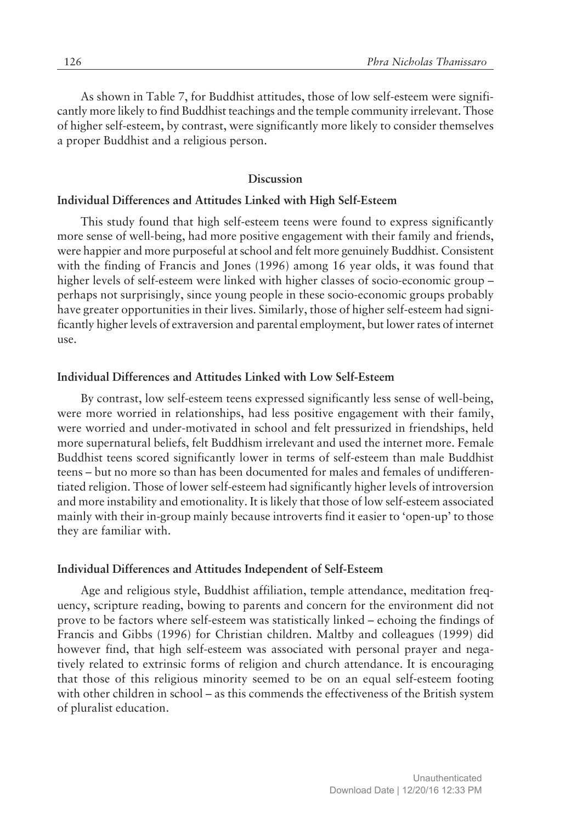As shown in Table 7, for Buddhist attitudes, those of low self-esteem were significantly more likely to find Buddhist teachings and the temple community irrelevant. Those of higher self-esteem, by contrast, were significantly more likely to consider themselves a proper Buddhist and a religious person.

## **Discussion**

#### **Individual Differences and Attitudes Linked with High Self-Esteem**

This study found that high self-esteem teens were found to express significantly more sense of well-being, had more positive engagement with their family and friends, were happier and more purposeful at school and felt more genuinely Buddhist. Consistent with the finding of Francis and Jones (1996) among 16 year olds, it was found that higher levels of self-esteem were linked with higher classes of socio-economic group  $$ perhaps not surprisingly, since young people in these socio-economic groups probably have greater opportunities in their lives. Similarly, those of higher self-esteem had significantly higher levels of extraversion and parental employment, but lower rates of internet use.

#### **Individual Differences and Attitudes Linked with Low Self-Esteem**

By contrast, low self-esteem teens expressed significantly less sense of well-being, were more worried in relationships, had less positive engagement with their family, were worried and under-motivated in school and felt pressurized in friendships, held more supernatural beliefs, felt Buddhism irrelevant and used the internet more. Female Buddhist teens scored significantly lower in terms of self-esteem than male Buddhist teens – but no more so than has been documented for males and females of undifferentiated religion. Those of lower self-esteem had significantly higher levels of introversion and more instability and emotionality. It is likely that those of low self-esteem associated mainly with their in-group mainly because introverts find it easier to 'open-up' to those they are familiar with.

# **Individual Differences and Attitudes Independent of Self-Esteem**

Age and religious style, Buddhist affiliation, temple attendance, meditation frequency, scripture reading, bowing to parents and concern for the environment did not prove to be factors where self-esteem was statistically linked – echoing the findings of Francis and Gibbs (1996) for Christian children. Maltby and colleagues (1999) did however find, that high self-esteem was associated with personal prayer and negatively related to extrinsic forms of religion and church attendance. It is encouraging that those of this religious minority seemed to be on an equal self-esteem footing with other children in school – as this commends the effectiveness of the British system of pluralist education.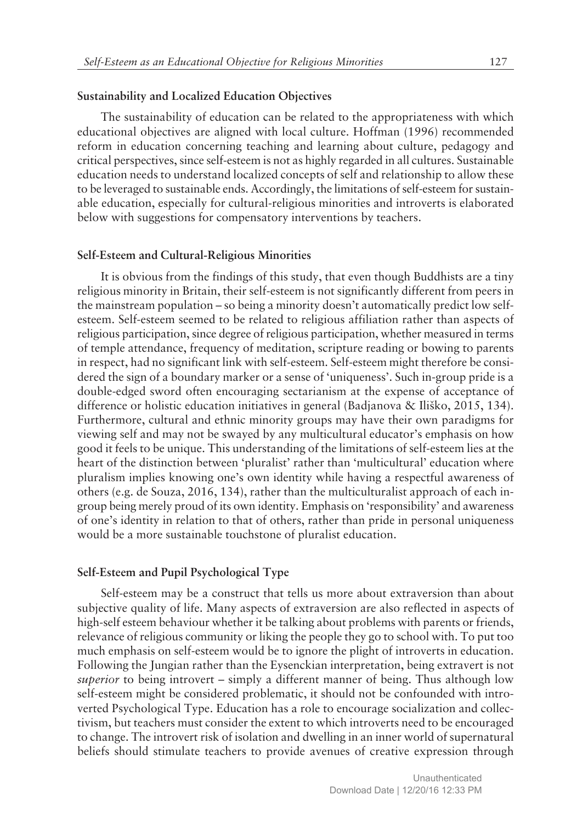## **Sustainability and Localized Education Objectives**

The sustainability of education can be related to the appropriateness with which educational objectives are aligned with local culture. Hoffman (1996) recommended reform in education concerning teaching and learning about culture, pedagogy and critical perspectives, since self-esteem is not as highly regarded in all cultures. Sustainable education needs to understand localized concepts of self and relationship to allow these to be leveraged to sustainable ends. Accordingly, the limitations of self-esteem for sustainable education, especially for cultural-religious minorities and introverts is elaborated below with suggestions for compensatory interventions by teachers.

#### **Self-Esteem and Cultural-Religious Minorities**

It is obvious from the findings of this study, that even though Buddhists are a tiny religious minority in Britain, their self-esteem is not significantly different from peers in the mainstream population – so being a minority doesn't automatically predict low selfesteem. Self-esteem seemed to be related to religious affiliation rather than aspects of religious participation, since degree of religious participation, whether measured in terms of temple attendance, frequency of meditation, scripture reading or bowing to parents in respect, had no significant link with self-esteem. Self-esteem might therefore be considered the sign of a boundary marker or a sense of 'uniqueness'. Such in-group pride is a double-edged sword often encouraging sectarianism at the expense of acceptance of difference or holistic education initiatives in general (Badjanova & Iliško, 2015, 134). Furthermore, cultural and ethnic minority groups may have their own paradigms for viewing self and may not be swayed by any multicultural educator's emphasis on how good it feels to be unique. This understanding of the limitations of self-esteem lies at the heart of the distinction between 'pluralist' rather than 'multicultural' education where pluralism implies knowing one's own identity while having a respectful awareness of others (e.g. de Souza, 2016, 134), rather than the multiculturalist approach of each ingroup being merely proud of its own identity. Emphasis on ëresponsibilityí and awareness of one's identity in relation to that of others, rather than pride in personal uniqueness would be a more sustainable touchstone of pluralist education.

#### **Self-Esteem and Pupil Psychological Type**

Self-esteem may be a construct that tells us more about extraversion than about subjective quality of life. Many aspects of extraversion are also reflected in aspects of high-self esteem behaviour whether it be talking about problems with parents or friends, relevance of religious community or liking the people they go to school with. To put too much emphasis on self-esteem would be to ignore the plight of introverts in education. Following the Jungian rather than the Eysenckian interpretation, being extravert is not *superior* to being introvert – simply a different manner of being. Thus although low self-esteem might be considered problematic, it should not be confounded with introverted Psychological Type. Education has a role to encourage socialization and collectivism, but teachers must consider the extent to which introverts need to be encouraged to change. The introvert risk of isolation and dwelling in an inner world of supernatural beliefs should stimulate teachers to provide avenues of creative expression through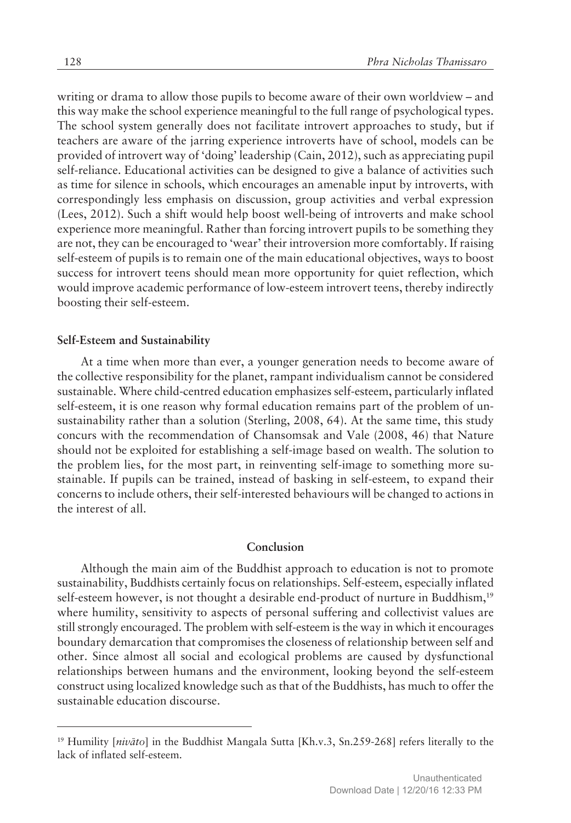writing or drama to allow those pupils to become aware of their own worldview – and this way make the school experience meaningful to the full range of psychological types. The school system generally does not facilitate introvert approaches to study, but if teachers are aware of the jarring experience introverts have of school, models can be provided of introvert way of 'doing' leadership (Cain, 2012), such as appreciating pupil self-reliance. Educational activities can be designed to give a balance of activities such as time for silence in schools, which encourages an amenable input by introverts, with correspondingly less emphasis on discussion, group activities and verbal expression (Lees, 2012). Such a shift would help boost well-being of introverts and make school experience more meaningful. Rather than forcing introvert pupils to be something they are not, they can be encouraged to 'wear' their introversion more comfortably. If raising self-esteem of pupils is to remain one of the main educational objectives, ways to boost success for introvert teens should mean more opportunity for quiet reflection, which would improve academic performance of low-esteem introvert teens, thereby indirectly boosting their self-esteem.

#### **Self-Esteem and Sustainability**

At a time when more than ever, a younger generation needs to become aware of the collective responsibility for the planet, rampant individualism cannot be considered sustainable. Where child-centred education emphasizes self-esteem, particularly inflated self-esteem, it is one reason why formal education remains part of the problem of unsustainability rather than a solution (Sterling, 2008, 64). At the same time, this study concurs with the recommendation of Chansomsak and Vale (2008, 46) that Nature should not be exploited for establishing a self-image based on wealth. The solution to the problem lies, for the most part, in reinventing self-image to something more sustainable. If pupils can be trained, instead of basking in self-esteem, to expand their concerns to include others, their self-interested behaviours will be changed to actions in the interest of all.

## **Conclusion**

Although the main aim of the Buddhist approach to education is not to promote sustainability, Buddhists certainly focus on relationships. Self-esteem, especially inflated self-esteem however, is not thought a desirable end-product of nurture in Buddhism,<sup>19</sup> where humility, sensitivity to aspects of personal suffering and collectivist values are still strongly encouraged. The problem with self-esteem is the way in which it encourages boundary demarcation that compromises the closeness of relationship between self and other. Since almost all social and ecological problems are caused by dysfunctional relationships between humans and the environment, looking beyond the self-esteem construct using localized knowledge such as that of the Buddhists, has much to offer the sustainable education discourse.

<sup>&</sup>lt;sup>19</sup> Humility [nivato] in the Buddhist Mangala Sutta [Kh.v.3, Sn.259-268] refers literally to the lack of inflated self-esteem.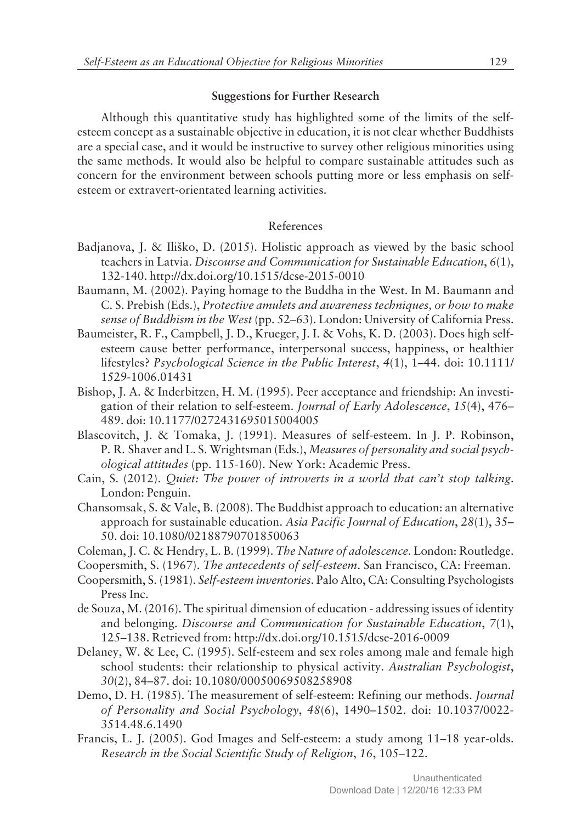# **Suggestions for Further Research**

Although this quantitative study has highlighted some of the limits of the selfesteem concept as a sustainable objective in education, it is not clear whether Buddhists are a special case, and it would be instructive to survey other religious minorities using the same methods. It would also be helpful to compare sustainable attitudes such as concern for the environment between schools putting more or less emphasis on selfesteem or extravert-orientated learning activities.

# References

- Badjanova, J. & Iliko, D. (2015). Holistic approach as viewed by the basic school teachers in Latvia. *Discourse and Communication for Sustainable Education*, *6*(1), 132-140. http://dx.doi.org/10.1515/dcse-2015-0010
- Baumann, M. (2002). Paying homage to the Buddha in the West. In M. Baumann and C. S. Prebish (Eds.), *Protective amulets and awareness techniques, or how to make sense of Buddhism in the West* (pp. 52–63). London: University of California Press.
- Baumeister, R. F., Campbell, J. D., Krueger, J. I. & Vohs, K. D. (2003). Does high selfesteem cause better performance, interpersonal success, happiness, or healthier lifestyles? *Psychological Science in the Public Interest*, 4(1), 1–44. doi: 10.1111/ 1529-1006.01431
- Bishop, J. A. & Inderbitzen, H. M. (1995). Peer acceptance and friendship: An investigation of their relation to self-esteem. *Journal of Early Adolescence*, 15(4), 476– 489. doi: 10.1177/0272431695015004005
- Blascovitch, J. & Tomaka, J. (1991). Measures of self-esteem. In J. P. Robinson, P. R. Shaver and L. S. Wrightsman (Eds.), *Measures of personality and social psychological attitudes* (pp. 115-160). New York: Academic Press.
- Cain, S. (2012). *Quiet: The power of introverts in a world that canít stop talking*. London: Penguin.
- Chansomsak, S. & Vale, B. (2008). The Buddhist approach to education: an alternative approach for sustainable education. Asia Pacific Journal of Education, 28(1), 35-50. doi: 10.1080/02188790701850063
- Coleman, J. C. & Hendry, L. B. (1999). *The Nature of adolescence*. London: Routledge.
- Coopersmith, S. (1967). *The antecedents of self-esteem*. San Francisco, CA: Freeman.
- Coopersmith, S. (1981). *Self-esteem inventories*. Palo Alto, CA: Consulting Psychologists Press Inc.
- de Souza, M. (2016). The spiritual dimension of education addressing issues of identity and belonging. *Discourse and Communication for Sustainable Education*, *7*(1), 125–138. Retrieved from: http://dx.doi.org/10.1515/dcse-2016-0009
- Delaney, W. & Lee, C. (1995). Self-esteem and sex roles among male and female high school students: their relationship to physical activity. *Australian Psychologist*, 30(2), 84-87. doi: 10.1080/00050069508258908
- Demo, D. H. (1985). The measurement of self-esteem: Refining our methods. *Journal of Personality and Social Psychology*, 48(6), 1490–1502. doi: 10.1037/0022-3514.48.6.1490
- Francis, L. J. (2005). God Images and Self-esteem: a study among  $11-18$  year-olds. *Research in the Social Scientific Study of Religion, 16, 105-122.*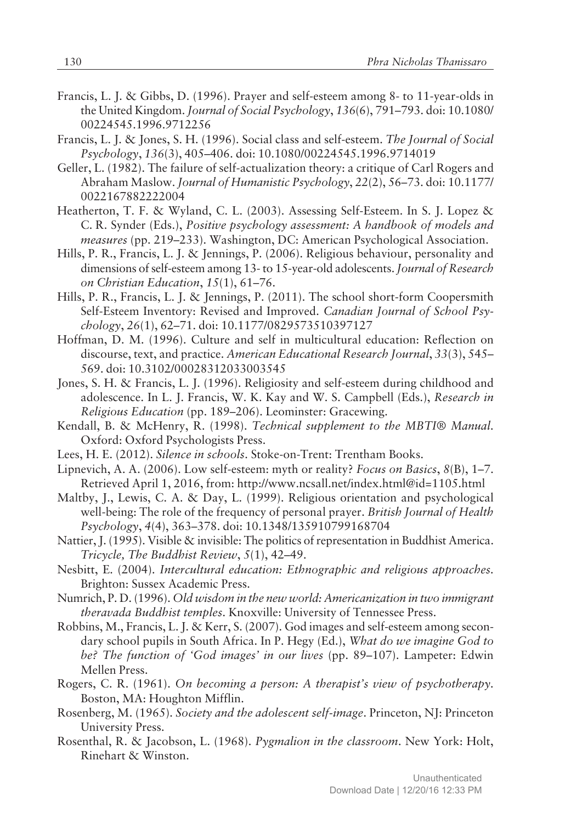- Francis, L. J. & Gibbs, D. (1996). Prayer and self-esteem among 8- to 11-year-olds in the United Kingdom. *Journal of Social Psychology*, 136(6), 791-793. doi: 10.1080/ 00224545.1996.9712256
- Francis, L. J. & Jones, S. H. (1996). Social class and self-esteem. *The Journal of Social* Psychology, 136(3), 405-406. doi: 10.1080/00224545.1996.9714019
- Geller, L. (1982). The failure of self-actualization theory: a critique of Carl Rogers and Abraham Maslow. *Journal of Humanistic Psychology*, 22(2), 56-73. doi: 10.1177/ 0022167882222004
- Heatherton, T. F. & Wyland, C. L. (2003). Assessing Self-Esteem. In S. J. Lopez & C. R. Synder (Eds.), *Positive psychology assessment: A handbook of models and measures* (pp. 219-233). Washington, DC: American Psychological Association.
- Hills, P. R., Francis, L. J. & Jennings, P. (2006). Religious behaviour, personality and dimensions of self-esteem among 13- to 15-year-old adolescents. *Journal of Research on Christian Education, 15(1), 61-76.*
- Hills, P. R., Francis, L. J. & Jennings, P. (2011). The school short-form Coopersmith Self-Esteem Inventory: Revised and Improved. *Canadian Journal of School Psychology*, 26(1), 62-71. doi: 10.1177/0829573510397127
- Hoffman, D. M. (1996). Culture and self in multicultural education: Reflection on discourse, text, and practice. *American Educational Research Journal*, *33*(3), 545ñ 569. doi: 10.3102/00028312033003545
- Jones, S. H. & Francis, L. J. (1996). Religiosity and self-esteem during childhood and adolescence. In L. J. Francis, W. K. Kay and W. S. Campbell (Eds.), *Research in Religious Education* (pp. 189–206). Leominster: Gracewing.
- Kendall, B. & McHenry, R. (1998). *Technical supplement to the MBTI® Manual*. Oxford: Oxford Psychologists Press.
- Lees, H. E. (2012). *Silence in schools*. Stoke-on-Trent: Trentham Books.
- Lipnevich, A. A. (2006). Low self-esteem: myth or reality? *Focus on Basics*,  $8(B)$ , 1–7. Retrieved April 1, 2016, from: http://www.ncsall.net/index.html@id=1105.html
- Maltby, J., Lewis, C. A. & Day, L. (1999). Religious orientation and psychological well-being: The role of the frequency of personal prayer. *British Journal of Health* Psychology, 4(4), 363-378. doi: 10.1348/135910799168704
- Nattier, J. (1995). Visible & invisible: The politics of representation in Buddhist America. *Tricycle, The Buddhist Review, 5(1), 42–49.*
- Nesbitt, E. (2004). *Intercultural education: Ethnographic and religious approaches*. Brighton: Sussex Academic Press.
- Numrich, P. D. (1996). *Old wisdom in the new world: Americanization in two immigrant theravada Buddhist temples*. Knoxville: University of Tennessee Press.
- Robbins, M., Francis, L. J. & Kerr, S. (2007). God images and self-esteem among secondary school pupils in South Africa. In P. Hegy (Ed.), *What do we imagine God to be? The function of 'God images' in our lives* (pp. 89–107). Lampeter: Edwin Mellen Press.
- Rogers, C. R. (1961). *On becoming a person: A therapist's view of psychotherapy*. Boston, MA: Houghton Mifflin.
- Rosenberg, M. (1965). *Society and the adolescent self-image*. Princeton, NJ: Princeton University Press.
- Rosenthal, R. & Jacobson, L. (1968). *Pygmalion in the classroom*. New York: Holt, Rinehart & Winston.